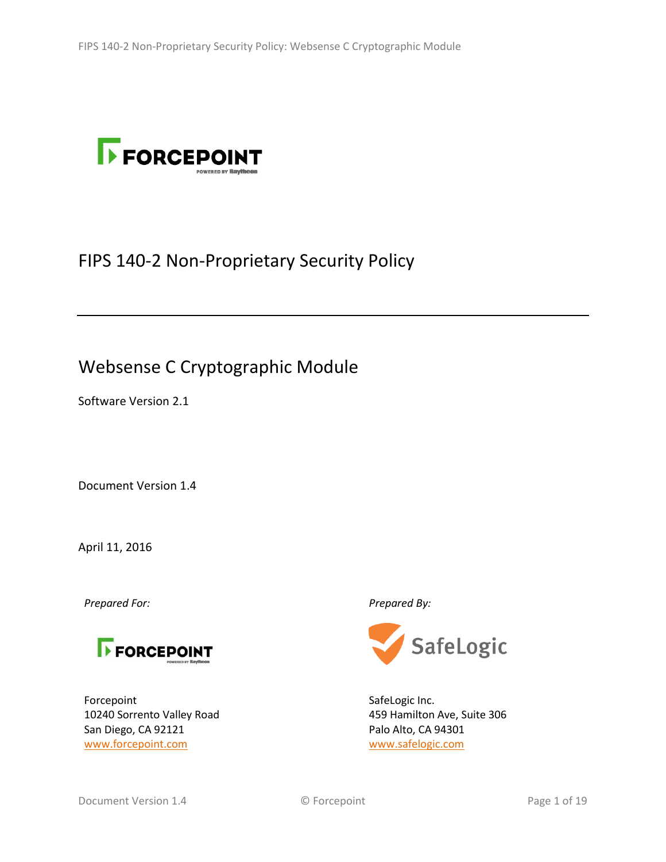

# FIPS 140-2 Non-Proprietary Security Policy

# Websense C Cryptographic Module

Software Version 2.1

Document Version 1.4

April 11, 2016

*Prepared For: Prepared By:*



Forcepoint 10240 Sorrento Valley Road San Diego, CA 92121 [www.forcepoint.com](http://www.forcepoint.com/)



SafeLogic Inc. 459 Hamilton Ave, Suite 306 Palo Alto, CA 94301 [www.safelogic.com](http://www.safelogic.com/)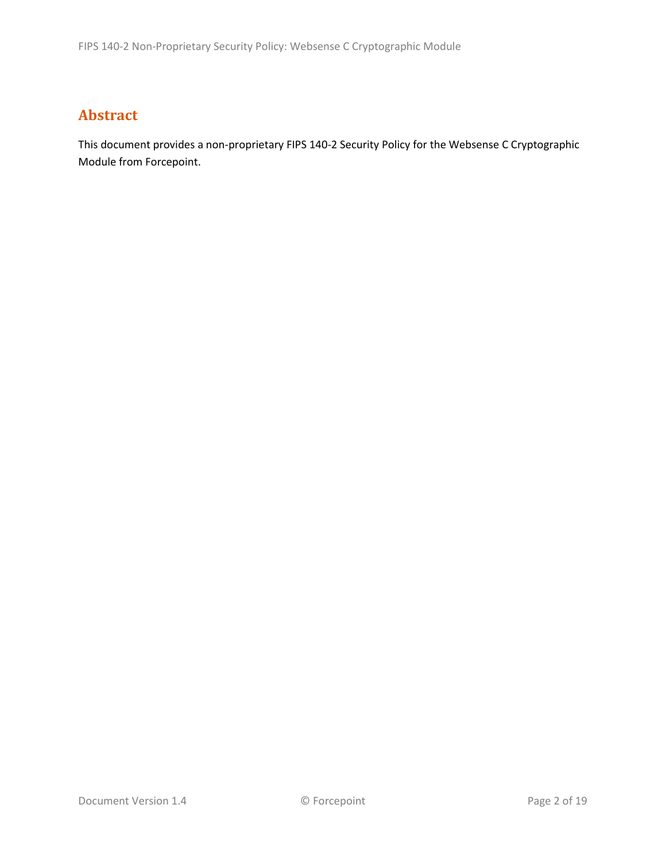## **Abstract**

This document provides a non-proprietary FIPS 140-2 Security Policy for the Websense C Cryptographic Module from Forcepoint.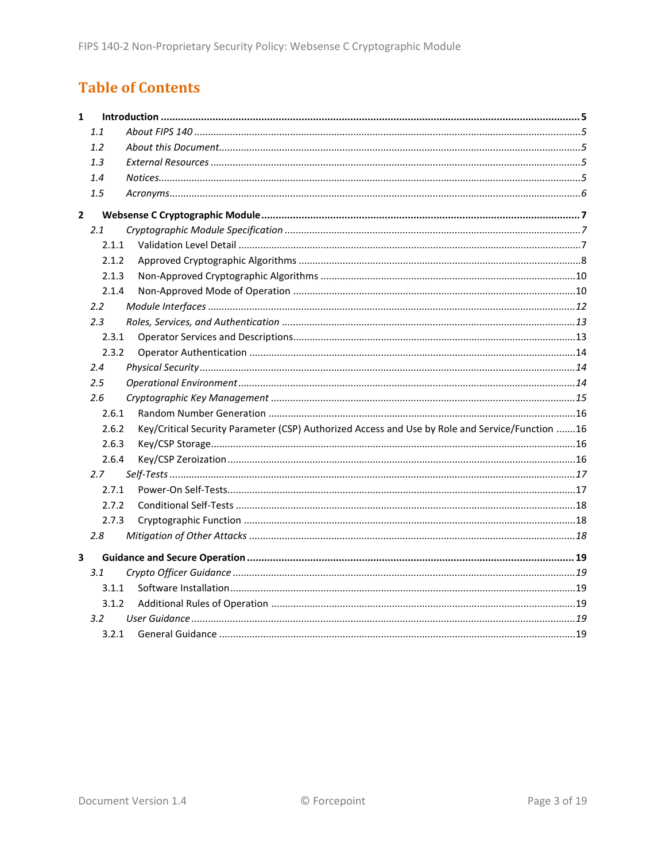## **Table of Contents**

| $\mathbf{1}$   |         |                                                                                                 |  |
|----------------|---------|-------------------------------------------------------------------------------------------------|--|
|                | 1.1     |                                                                                                 |  |
|                | 1.2     |                                                                                                 |  |
|                | 1.3     |                                                                                                 |  |
|                | 1.4     |                                                                                                 |  |
|                | 1.5     |                                                                                                 |  |
| $\overline{2}$ |         |                                                                                                 |  |
|                | 2.1     |                                                                                                 |  |
|                | 2.1.1   |                                                                                                 |  |
|                | 2.1.2   |                                                                                                 |  |
|                | 2.1.3   |                                                                                                 |  |
|                | 2.1.4   |                                                                                                 |  |
|                | 2.2     |                                                                                                 |  |
|                | 2.3     |                                                                                                 |  |
|                | 2.3.1   |                                                                                                 |  |
|                | 2.3.2   |                                                                                                 |  |
|                | 2.4     |                                                                                                 |  |
|                | $2.5\,$ |                                                                                                 |  |
|                | 2.6     |                                                                                                 |  |
|                | 2.6.1   |                                                                                                 |  |
|                | 2.6.2   | Key/Critical Security Parameter (CSP) Authorized Access and Use by Role and Service/Function 16 |  |
|                | 2.6.3   |                                                                                                 |  |
|                | 2.6.4   |                                                                                                 |  |
|                | 2.7     |                                                                                                 |  |
|                | 2.7.1   |                                                                                                 |  |
|                | 2.7.2   |                                                                                                 |  |
|                | 2.7.3   |                                                                                                 |  |
|                | 2.8     |                                                                                                 |  |
| 3              |         |                                                                                                 |  |
|                | 3.1     |                                                                                                 |  |
|                | 3.1.1   |                                                                                                 |  |
|                | 3.1.2   |                                                                                                 |  |
|                | 3.2     |                                                                                                 |  |
|                | 3.2.1   |                                                                                                 |  |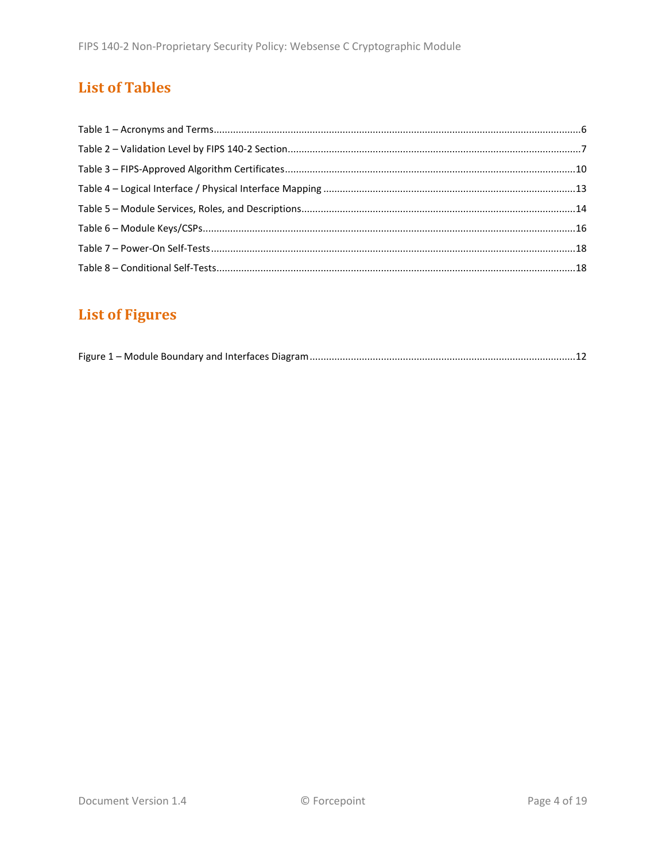## **List of Tables**

# **List of Figures**

|--|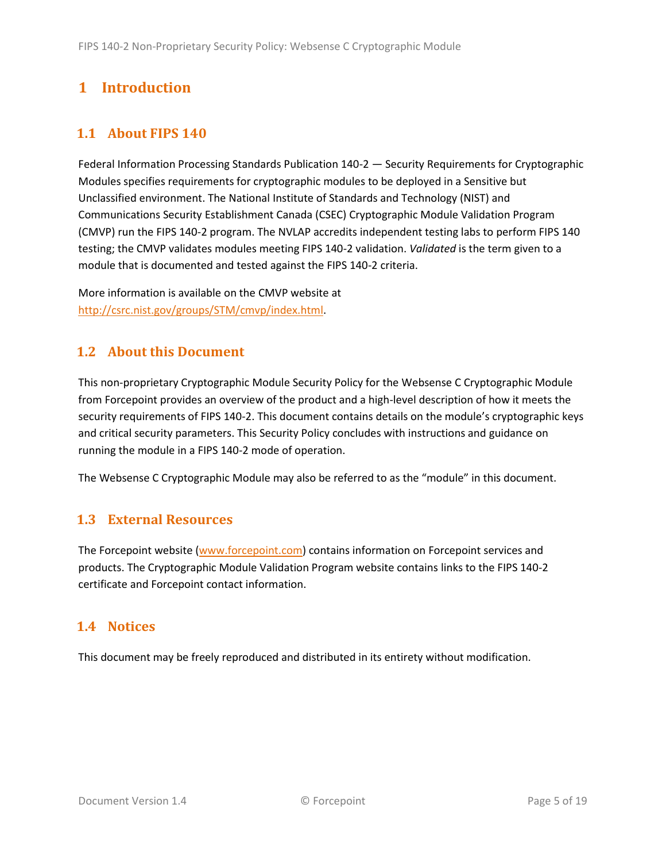## <span id="page-4-0"></span>**1 Introduction**

## <span id="page-4-1"></span>**1.1 About FIPS 140**

Federal Information Processing Standards Publication 140-2 — Security Requirements for Cryptographic Modules specifies requirements for cryptographic modules to be deployed in a Sensitive but Unclassified environment. The National Institute of Standards and Technology (NIST) and Communications Security Establishment Canada (CSEC) Cryptographic Module Validation Program (CMVP) run the FIPS 140-2 program. The NVLAP accredits independent testing labs to perform FIPS 140 testing; the CMVP validates modules meeting FIPS 140-2 validation. *Validated* is the term given to a module that is documented and tested against the FIPS 140-2 criteria.

More information is available on the CMVP website at [http://csrc.nist.gov/groups/STM/cmvp/index.html.](http://csrc.nist.gov/groups/STM/cmvp/index.html)

### <span id="page-4-2"></span>**1.2 About this Document**

This non-proprietary Cryptographic Module Security Policy for the Websense C Cryptographic Module from Forcepoint provides an overview of the product and a high-level description of how it meets the security requirements of FIPS 140-2. This document contains details on the module's cryptographic keys and critical security parameters. This Security Policy concludes with instructions and guidance on running the module in a FIPS 140-2 mode of operation.

The Websense C Cryptographic Module may also be referred to as the "module" in this document.

### <span id="page-4-3"></span>**1.3 External Resources**

The Forcepoint website [\(www.forcepoint.com\)](http://www.forcepoint.com/) contains information on Forcepoint services and products. The Cryptographic Module Validation Program website contains links to the FIPS 140-2 certificate and Forcepoint contact information.

### <span id="page-4-4"></span>**1.4 Notices**

This document may be freely reproduced and distributed in its entirety without modification.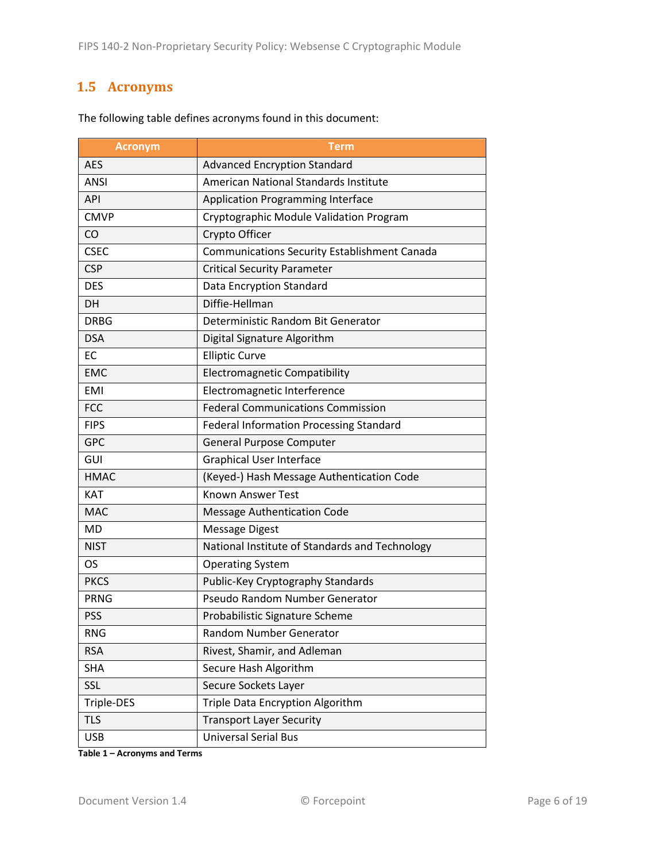## <span id="page-5-0"></span>**1.5 Acronyms**

| <b>Acronym</b> | Term                                                |
|----------------|-----------------------------------------------------|
| <b>AES</b>     | <b>Advanced Encryption Standard</b>                 |
| <b>ANSI</b>    | American National Standards Institute               |
| API            | <b>Application Programming Interface</b>            |
| <b>CMVP</b>    | Cryptographic Module Validation Program             |
| CO             | Crypto Officer                                      |
| <b>CSEC</b>    | <b>Communications Security Establishment Canada</b> |
| <b>CSP</b>     | <b>Critical Security Parameter</b>                  |
| <b>DES</b>     | Data Encryption Standard                            |
| DH             | Diffie-Hellman                                      |
| <b>DRBG</b>    | Deterministic Random Bit Generator                  |
| <b>DSA</b>     | Digital Signature Algorithm                         |
| EC             | <b>Elliptic Curve</b>                               |
| <b>EMC</b>     | <b>Electromagnetic Compatibility</b>                |
| <b>EMI</b>     | Electromagnetic Interference                        |
| <b>FCC</b>     | <b>Federal Communications Commission</b>            |
| <b>FIPS</b>    | <b>Federal Information Processing Standard</b>      |
| <b>GPC</b>     | <b>General Purpose Computer</b>                     |
| GUI            | <b>Graphical User Interface</b>                     |
| <b>HMAC</b>    | (Keyed-) Hash Message Authentication Code           |
| <b>KAT</b>     | <b>Known Answer Test</b>                            |
| <b>MAC</b>     | <b>Message Authentication Code</b>                  |
| MD             | <b>Message Digest</b>                               |
| <b>NIST</b>    | National Institute of Standards and Technology      |
| <b>OS</b>      | <b>Operating System</b>                             |
| <b>PKCS</b>    | Public-Key Cryptography Standards                   |
| <b>PRNG</b>    | Pseudo Random Number Generator                      |
| <b>PSS</b>     | Probabilistic Signature Scheme                      |
| <b>RNG</b>     | Random Number Generator                             |
| <b>RSA</b>     | Rivest, Shamir, and Adleman                         |
| <b>SHA</b>     | Secure Hash Algorithm                               |
| SSL            | Secure Sockets Layer                                |
| Triple-DES     | Triple Data Encryption Algorithm                    |
| <b>TLS</b>     | <b>Transport Layer Security</b>                     |
| <b>USB</b>     | <b>Universal Serial Bus</b>                         |

The following table defines acronyms found in this document:

**Table 1 – Acronyms and Terms**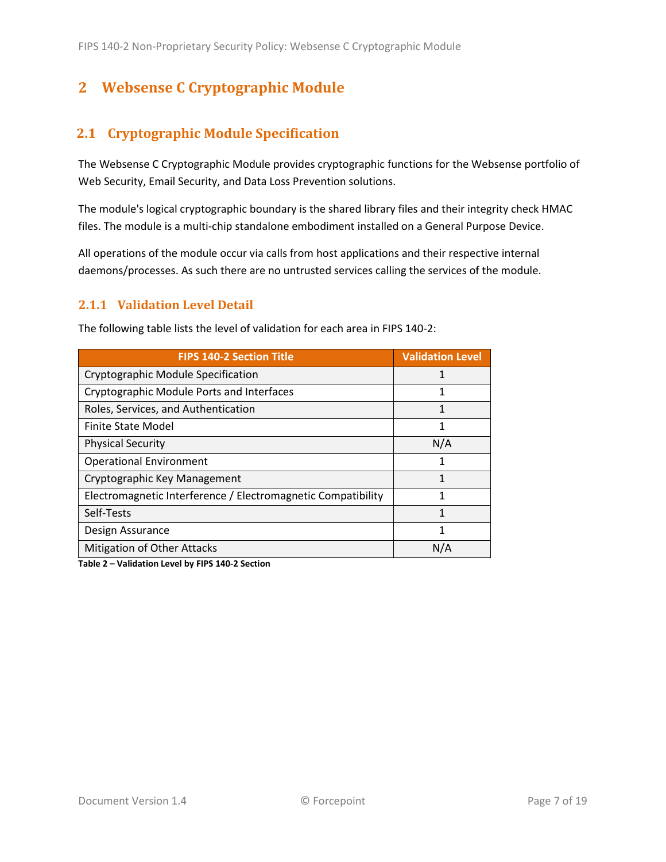## <span id="page-6-0"></span>**2 Websense C Cryptographic Module**

## <span id="page-6-1"></span>**2.1 Cryptographic Module Specification**

The Websense C Cryptographic Module provides cryptographic functions for the Websense portfolio of Web Security, Email Security, and Data Loss Prevention solutions.

The module's logical cryptographic boundary is the shared library files and their integrity check HMAC files. The module is a multi-chip standalone embodiment installed on a General Purpose Device.

All operations of the module occur via calls from host applications and their respective internal daemons/processes. As such there are no untrusted services calling the services of the module.

### <span id="page-6-2"></span>**2.1.1 Validation Level Detail**

| <b>FIPS 140-2 Section Title</b>                              | <b>Validation Level</b> |
|--------------------------------------------------------------|-------------------------|
| Cryptographic Module Specification                           |                         |
| Cryptographic Module Ports and Interfaces                    | 1                       |
| Roles, Services, and Authentication                          | 1                       |
| Finite State Model                                           | 1                       |
| <b>Physical Security</b>                                     | N/A                     |
| <b>Operational Environment</b>                               |                         |
| Cryptographic Key Management                                 |                         |
| Electromagnetic Interference / Electromagnetic Compatibility | 1                       |
| Self-Tests                                                   | 1                       |
| Design Assurance                                             | 1                       |
| <b>Mitigation of Other Attacks</b>                           | N/A                     |

The following table lists the level of validation for each area in FIPS 140-2:

**Table 2 – Validation Level by FIPS 140-2 Section**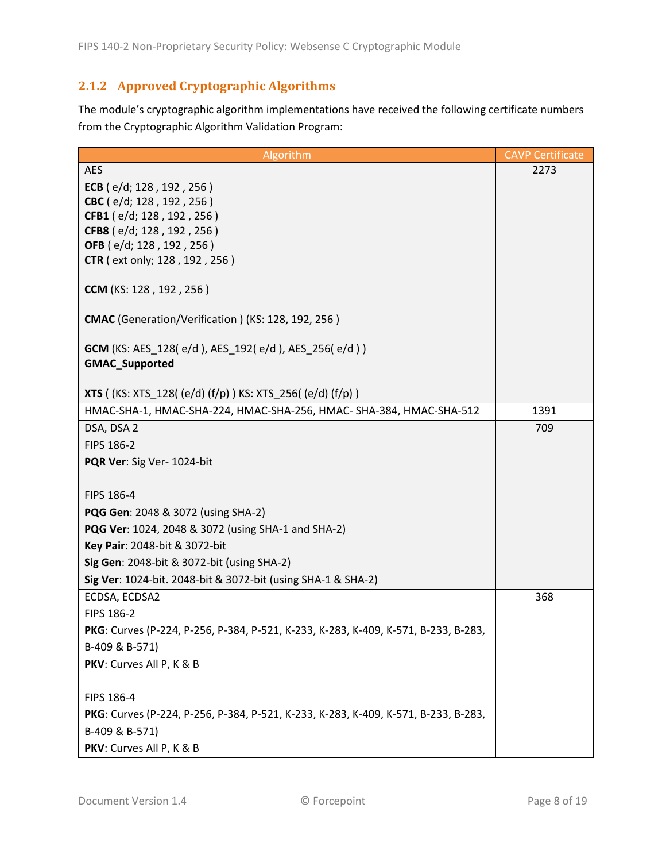## <span id="page-7-0"></span>**2.1.2 Approved Cryptographic Algorithms**

The module's cryptographic algorithm implementations have received the following certificate numbers from the Cryptographic Algorithm Validation Program:

| Algorithm                                                                          | <b>CAVP Certificate</b> |
|------------------------------------------------------------------------------------|-------------------------|
| <b>AES</b>                                                                         | 2273                    |
| ECB ( $e/d$ ; 128, 192, 256)                                                       |                         |
| CBC (e/d; 128, 192, 256)                                                           |                         |
| CFB1 (e/d; 128, 192, 256)                                                          |                         |
| CFB8 (e/d; 128, 192, 256)                                                          |                         |
| OFB (e/d; 128, 192, 256)<br>CTR (ext only; 128, 192, 256)                          |                         |
|                                                                                    |                         |
| CCM (KS: 128, 192, 256)                                                            |                         |
| CMAC (Generation/Verification) (KS: 128, 192, 256)                                 |                         |
| <b>GCM</b> (KS: AES_128( $e/d$ ), AES_192( $e/d$ ), AES_256( $e/d$ ))              |                         |
| <b>GMAC_Supported</b>                                                              |                         |
|                                                                                    |                         |
| <b>XTS</b> ((KS: XTS_128((e/d)(f/p)) KS: XTS_256((e/d)(f/p))                       |                         |
| HMAC-SHA-1, HMAC-SHA-224, HMAC-SHA-256, HMAC- SHA-384, HMAC-SHA-512                | 1391                    |
| DSA, DSA 2                                                                         | 709                     |
| FIPS 186-2                                                                         |                         |
| PQR Ver: Sig Ver- 1024-bit                                                         |                         |
|                                                                                    |                         |
| FIPS 186-4                                                                         |                         |
| PQG Gen: 2048 & 3072 (using SHA-2)                                                 |                         |
| PQG Ver: 1024, 2048 & 3072 (using SHA-1 and SHA-2)                                 |                         |
| Key Pair: 2048-bit & 3072-bit                                                      |                         |
| Sig Gen: 2048-bit & 3072-bit (using SHA-2)                                         |                         |
| Sig Ver: 1024-bit. 2048-bit & 3072-bit (using SHA-1 & SHA-2)                       |                         |
| ECDSA, ECDSA2                                                                      | 368                     |
| FIPS 186-2                                                                         |                         |
| PKG: Curves (P-224, P-256, P-384, P-521, K-233, K-283, K-409, K-571, B-233, B-283, |                         |
| B-409 & B-571)                                                                     |                         |
| PKV: Curves All P, K & B                                                           |                         |
| FIPS 186-4                                                                         |                         |
| PKG: Curves (P-224, P-256, P-384, P-521, K-233, K-283, K-409, K-571, B-233, B-283, |                         |
| B-409 & B-571)                                                                     |                         |
| PKV: Curves All P, K & B                                                           |                         |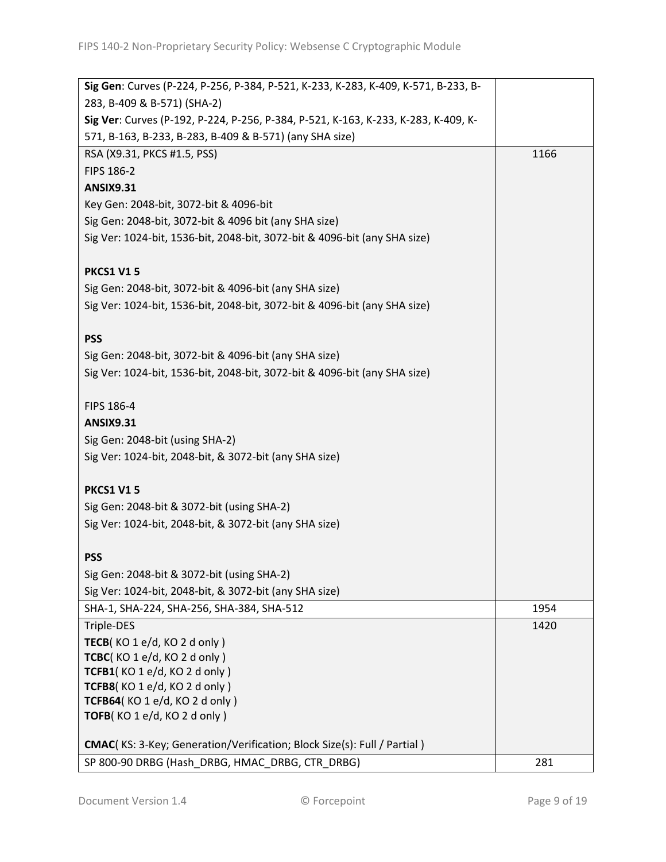| Sig Gen: Curves (P-224, P-256, P-384, P-521, K-233, K-283, K-409, K-571, B-233, B- |      |
|------------------------------------------------------------------------------------|------|
| 283, B-409 & B-571) (SHA-2)                                                        |      |
| Sig Ver: Curves (P-192, P-224, P-256, P-384, P-521, K-163, K-233, K-283, K-409, K- |      |
| 571, B-163, B-233, B-283, B-409 & B-571) (any SHA size)                            |      |
| RSA (X9.31, PKCS #1.5, PSS)                                                        | 1166 |
| FIPS 186-2                                                                         |      |
| <b>ANSIX9.31</b>                                                                   |      |
| Key Gen: 2048-bit, 3072-bit & 4096-bit                                             |      |
| Sig Gen: 2048-bit, 3072-bit & 4096 bit (any SHA size)                              |      |
| Sig Ver: 1024-bit, 1536-bit, 2048-bit, 3072-bit & 4096-bit (any SHA size)          |      |
|                                                                                    |      |
| <b>PKCS1 V15</b>                                                                   |      |
| Sig Gen: 2048-bit, 3072-bit & 4096-bit (any SHA size)                              |      |
| Sig Ver: 1024-bit, 1536-bit, 2048-bit, 3072-bit & 4096-bit (any SHA size)          |      |
|                                                                                    |      |
| <b>PSS</b>                                                                         |      |
| Sig Gen: 2048-bit, 3072-bit & 4096-bit (any SHA size)                              |      |
| Sig Ver: 1024-bit, 1536-bit, 2048-bit, 3072-bit & 4096-bit (any SHA size)          |      |
|                                                                                    |      |
| FIPS 186-4                                                                         |      |
| <b>ANSIX9.31</b>                                                                   |      |
| Sig Gen: 2048-bit (using SHA-2)                                                    |      |
| Sig Ver: 1024-bit, 2048-bit, & 3072-bit (any SHA size)                             |      |
|                                                                                    |      |
| <b>PKCS1 V15</b>                                                                   |      |
| Sig Gen: 2048-bit & 3072-bit (using SHA-2)                                         |      |
| Sig Ver: 1024-bit, 2048-bit, & 3072-bit (any SHA size)                             |      |
|                                                                                    |      |
| <b>PSS</b>                                                                         |      |
| Sig Gen: 2048-bit & 3072-bit (using SHA-2)                                         |      |
| Sig Ver: 1024-bit, 2048-bit, & 3072-bit (any SHA size)                             |      |
| SHA-1, SHA-224, SHA-256, SHA-384, SHA-512                                          | 1954 |
| Triple-DES                                                                         | 1420 |
| TECB(KO 1 e/d, KO 2 d only)                                                        |      |
| TCBC(KO 1 e/d, KO 2 d only)                                                        |      |
| TCFB1(KO 1 e/d, KO 2 d only)                                                       |      |
| TCFB8(KO 1 e/d, KO 2 d only)                                                       |      |
| TCFB64(KO 1 e/d, KO 2 d only)                                                      |      |
| TOFB(KO 1 e/d, KO 2 d only)                                                        |      |
| CMAC(KS: 3-Key; Generation/Verification; Block Size(s): Full / Partial )           |      |
| SP 800-90 DRBG (Hash DRBG, HMAC DRBG, CTR DRBG)                                    | 281  |
|                                                                                    |      |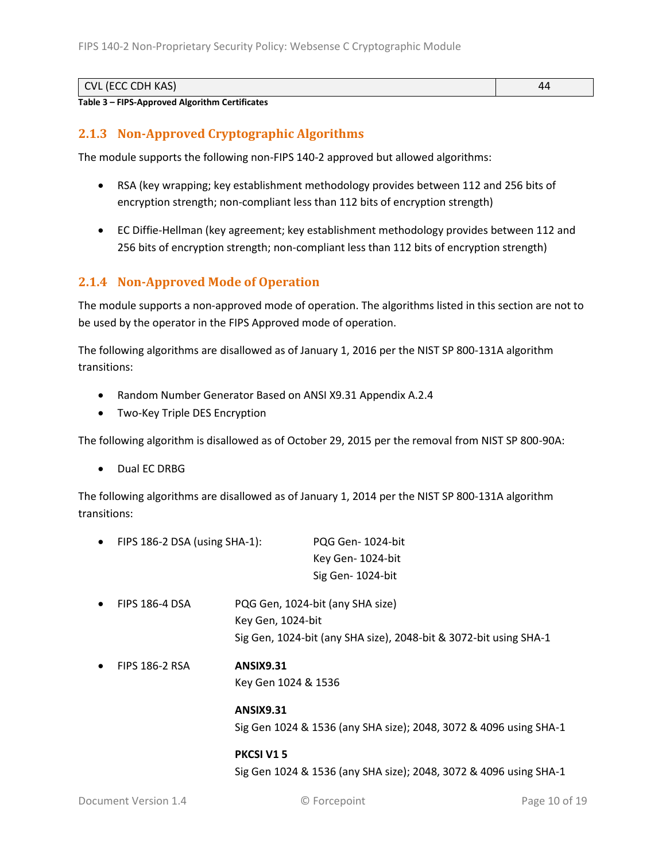| CVL (ECC CDH KAS) | $\sim$ |
|-------------------|--------|
| .<br>.<br>___     |        |

#### **Table 3 – FIPS-Approved Algorithm Certificates**

### <span id="page-9-0"></span>**2.1.3 Non-Approved Cryptographic Algorithms**

The module supports the following non-FIPS 140-2 approved but allowed algorithms:

- RSA (key wrapping; key establishment methodology provides between 112 and 256 bits of encryption strength; non-compliant less than 112 bits of encryption strength)
- EC Diffie-Hellman (key agreement; key establishment methodology provides between 112 and 256 bits of encryption strength; non-compliant less than 112 bits of encryption strength)

### <span id="page-9-1"></span>**2.1.4 Non-Approved Mode of Operation**

The module supports a non-approved mode of operation. The algorithms listed in this section are not to be used by the operator in the FIPS Approved mode of operation.

The following algorithms are disallowed as of January 1, 2016 per the NIST SP 800-131A algorithm transitions:

- Random Number Generator Based on ANSI X9.31 Appendix A.2.4
- Two-Key Triple DES Encryption

The following algorithm is disallowed as of October 29, 2015 per the removal from NIST SP 800-90A:

Dual EC DRBG

The following algorithms are disallowed as of January 1, 2014 per the NIST SP 800-131A algorithm transitions:

| $\bullet$ | FIPS 186-2 DSA (using SHA-1): |                                                                                                                                                                                                                                                                                                                     | PQG Gen-1024-bit                 |
|-----------|-------------------------------|---------------------------------------------------------------------------------------------------------------------------------------------------------------------------------------------------------------------------------------------------------------------------------------------------------------------|----------------------------------|
|           |                               |                                                                                                                                                                                                                                                                                                                     | Key Gen-1024-bit                 |
|           |                               |                                                                                                                                                                                                                                                                                                                     | Sig Gen-1024-bit                 |
| $\bullet$ | <b>FIPS 186-4 DSA</b>         | $1/\sqrt{2}$ $\sqrt{2}$ $\sqrt{2}$ $\sqrt{2}$ $\sqrt{2}$ $\sqrt{2}$ $\sqrt{2}$ $\sqrt{2}$ $\sqrt{2}$ $\sqrt{2}$ $\sqrt{2}$ $\sqrt{2}$ $\sqrt{2}$ $\sqrt{2}$ $\sqrt{2}$ $\sqrt{2}$ $\sqrt{2}$ $\sqrt{2}$ $\sqrt{2}$ $\sqrt{2}$ $\sqrt{2}$ $\sqrt{2}$ $\sqrt{2}$ $\sqrt{2}$ $\sqrt{2}$ $\sqrt{2}$ $\sqrt{2}$ $\sqrt{$ | PQG Gen, 1024-bit (any SHA size) |

- Key Gen, 1024-bit Sig Gen, 1024-bit (any SHA size), 2048-bit & 3072-bit using SHA-1
- FIPS 186-2 RSA **ANSIX9.31**

```
Key Gen 1024 & 1536
```
**ANSIX9.31** Sig Gen 1024 & 1536 (any SHA size); 2048, 3072 & 4096 using SHA-1

**PKCSI V1 5** Sig Gen 1024 & 1536 (any SHA size); 2048, 3072 & 4096 using SHA-1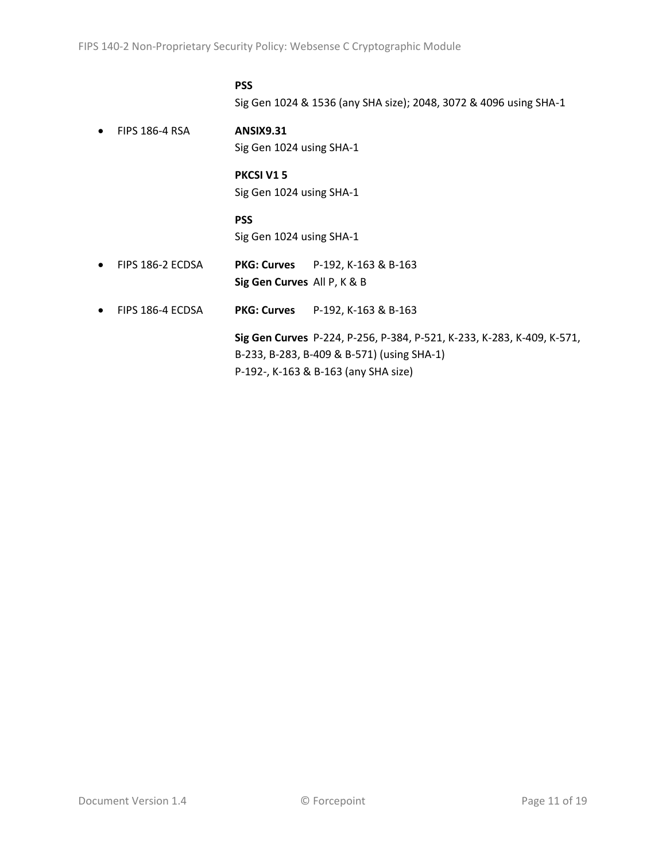#### **PSS**

Sig Gen 1024 & 1536 (any SHA size); 2048, 3072 & 4096 using SHA-1

 FIPS 186-4 RSA **ANSIX9.31** Sig Gen 1024 using SHA-1

#### **PKCSI V1 5**

Sig Gen 1024 using SHA-1

#### **PSS**

Sig Gen 1024 using SHA-1

- FIPS 186-2 ECDSA **PKG: Curves** P-192, K-163 & B-163 **Sig Gen Curves** All P, K & B
- FIPS 186-4 ECDSA **PKG: Curves** P-192, K-163 & B-163

**Sig Gen Curves** P-224, P-256, P-384, P-521, K-233, K-283, K-409, K-571, B-233, B-283, B-409 & B-571) (using SHA-1) P-192-, K-163 & B-163 (any SHA size)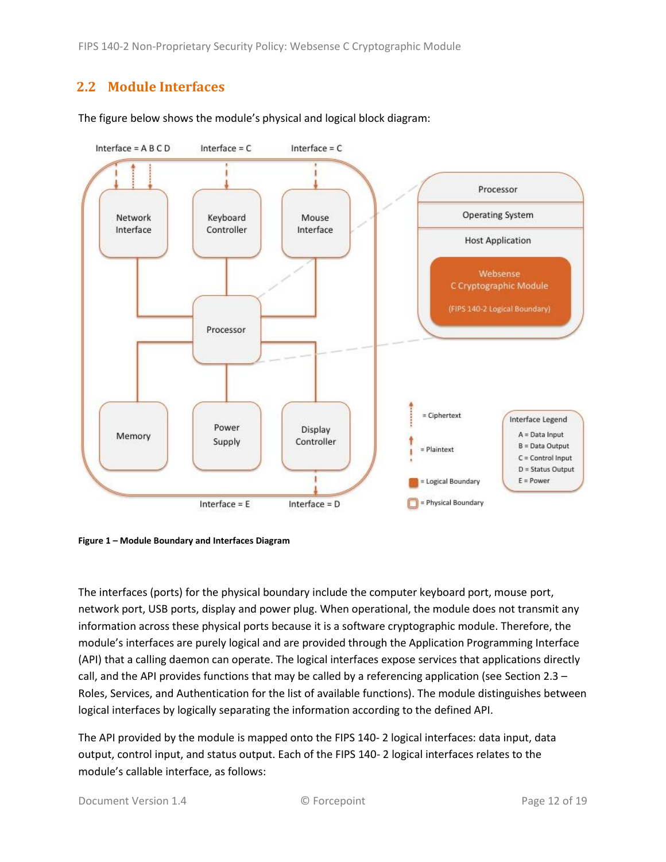## <span id="page-11-0"></span>**2.2 Module Interfaces**



The figure below shows the module's physical and logical block diagram:

<span id="page-11-1"></span>**Figure 1 – Module Boundary and Interfaces Diagram**

The interfaces (ports) for the physical boundary include the computer keyboard port, mouse port, network port, USB ports, display and power plug. When operational, the module does not transmit any information across these physical ports because it is a software cryptographic module. Therefore, the module's interfaces are purely logical and are provided through the Application Programming Interface (API) that a calling daemon can operate. The logical interfaces expose services that applications directly call, and the API provides functions that may be called by a referencing application (see Sectio[n 2.3](#page-12-0) – [Roles, Services, and Authentication](#page-12-0) for the list of available functions). The module distinguishes between logical interfaces by logically separating the information according to the defined API.

The API provided by the module is mapped onto the FIPS 140- 2 logical interfaces: data input, data output, control input, and status output. Each of the FIPS 140- 2 logical interfaces relates to the module's callable interface, as follows: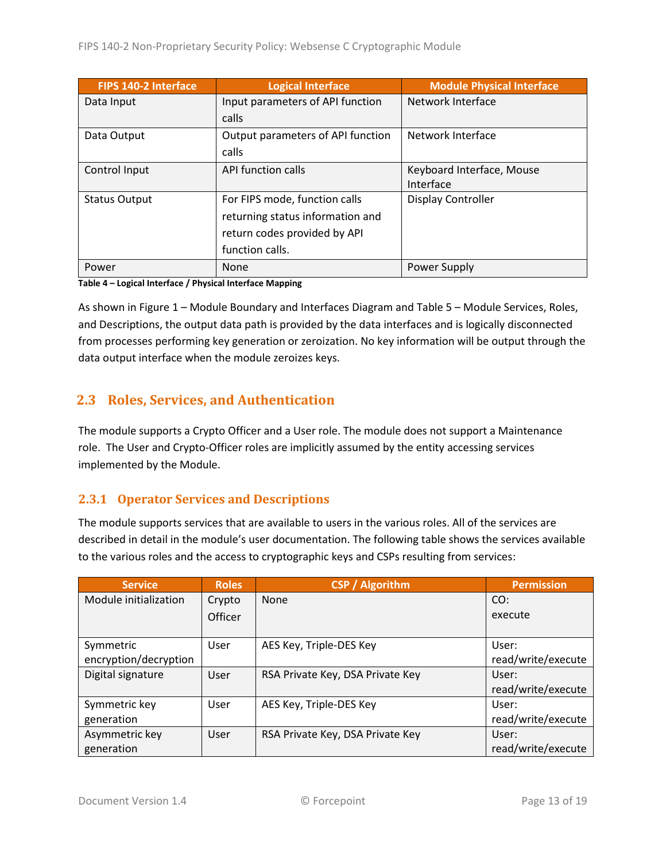| <b>FIPS 140-2 Interface</b> | <b>Logical Interface</b>          | <b>Module Physical Interface</b> |  |
|-----------------------------|-----------------------------------|----------------------------------|--|
| Data Input                  | Input parameters of API function  | Network Interface                |  |
|                             | calls                             |                                  |  |
| Data Output                 | Output parameters of API function | Network Interface                |  |
|                             | calls                             |                                  |  |
| Control Input               | <b>API function calls</b>         | Keyboard Interface, Mouse        |  |
|                             |                                   | Interface                        |  |
| <b>Status Output</b>        | For FIPS mode, function calls     | Display Controller               |  |
|                             | returning status information and  |                                  |  |
|                             | return codes provided by API      |                                  |  |
|                             | function calls.                   |                                  |  |
| Power                       | None                              | <b>Power Supply</b>              |  |

**Table 4 – Logical Interface / Physical Interface Mapping**

As shown in Figure 1 – [Module Boundary and Interfaces Diagram](#page-11-1) and Table 5 – Module [Services, Roles,](#page-13-3) [and Descriptions,](#page-13-3) the output data path is provided by the data interfaces and is logically disconnected from processes performing key generation or zeroization. No key information will be output through the data output interface when the module zeroizes keys.

## <span id="page-12-0"></span>**2.3 Roles, Services, and Authentication**

The module supports a Crypto Officer and a User role. The module does not support a Maintenance role. The User and Crypto-Officer roles are implicitly assumed by the entity accessing services implemented by the Module.

### <span id="page-12-1"></span>**2.3.1 Operator Services and Descriptions**

The module supports services that are available to users in the various roles. All of the services are described in detail in the module's user documentation. The following table shows the services available to the various roles and the access to cryptographic keys and CSPs resulting from services:

| <b>Service</b>        | <b>Roles</b> | <b>CSP / Algorithm</b>           | <b>Permission</b>  |
|-----------------------|--------------|----------------------------------|--------------------|
| Module initialization | Crypto       | None                             | CO:                |
|                       | Officer      |                                  | execute            |
|                       |              |                                  |                    |
| Symmetric             | User         | AES Key, Triple-DES Key          | User:              |
| encryption/decryption |              |                                  | read/write/execute |
| Digital signature     | User         | RSA Private Key, DSA Private Key | User:              |
|                       |              |                                  | read/write/execute |
| Symmetric key         | User         | AES Key, Triple-DES Key          | User:              |
| generation            |              |                                  | read/write/execute |
| Asymmetric key        | User         | RSA Private Key, DSA Private Key | User:              |
| generation            |              |                                  | read/write/execute |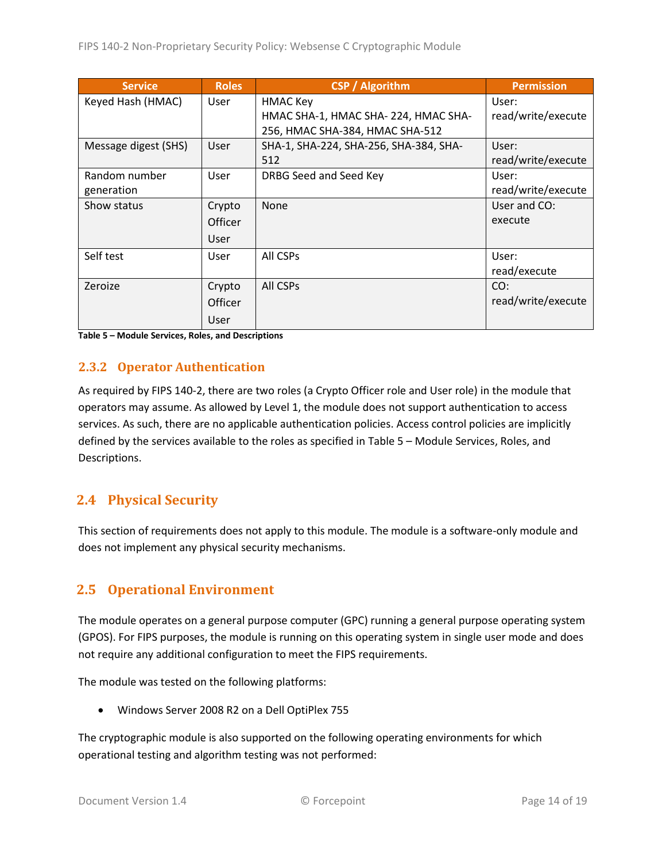| <b>Service</b>       | <b>Roles</b>   | <b>CSP / Algorithm</b>                 | <b>Permission</b>  |
|----------------------|----------------|----------------------------------------|--------------------|
| Keyed Hash (HMAC)    | <b>User</b>    | <b>HMAC Key</b>                        | User:              |
|                      |                | HMAC SHA-1, HMAC SHA-224, HMAC SHA-    | read/write/execute |
|                      |                | 256, HMAC SHA-384, HMAC SHA-512        |                    |
| Message digest (SHS) | User           | SHA-1, SHA-224, SHA-256, SHA-384, SHA- | User:              |
|                      |                | 512                                    | read/write/execute |
| Random number        | <b>User</b>    | DRBG Seed and Seed Key                 | User:              |
| generation           |                |                                        | read/write/execute |
| Show status          | Crypto         | <b>None</b>                            | User and CO:       |
|                      | <b>Officer</b> |                                        | execute            |
|                      | User           |                                        |                    |
| Self test            | User           | All CSPs                               | User:              |
|                      |                |                                        | read/execute       |
| Zeroize              | Crypto         | All CSPs                               | CO:                |
|                      | <b>Officer</b> |                                        | read/write/execute |
|                      | User           |                                        |                    |

<span id="page-13-3"></span>**Table 5 – Module Services, Roles, and Descriptions**

### <span id="page-13-0"></span>**2.3.2 Operator Authentication**

As required by FIPS 140-2, there are two roles (a Crypto Officer role and User role) in the module that operators may assume. As allowed by Level 1, the module does not support authentication to access services. As such, there are no applicable authentication policies. Access control policies are implicitly defined by the services available to the roles as specified in Table 5 – Module [Services, Roles,](#page-13-3) and [Descriptions.](#page-13-3)

### <span id="page-13-1"></span>**2.4 Physical Security**

This section of requirements does not apply to this module. The module is a software-only module and does not implement any physical security mechanisms.

## <span id="page-13-2"></span>**2.5 Operational Environment**

The module operates on a general purpose computer (GPC) running a general purpose operating system (GPOS). For FIPS purposes, the module is running on this operating system in single user mode and does not require any additional configuration to meet the FIPS requirements.

The module was tested on the following platforms:

Windows Server 2008 R2 on a Dell OptiPlex 755

The cryptographic module is also supported on the following operating environments for which operational testing and algorithm testing was not performed: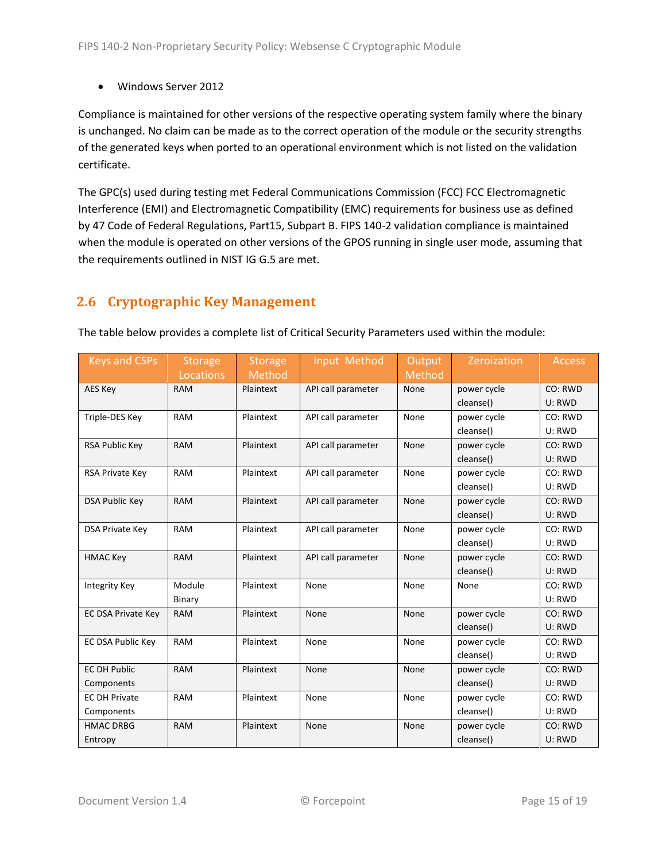Windows Server 2012

Compliance is maintained for other versions of the respective operating system family where the binary is unchanged. No claim can be made as to the correct operation of the module or the security strengths of the generated keys when ported to an operational environment which is not listed on the validation certificate.

The GPC(s) used during testing met Federal Communications Commission (FCC) FCC Electromagnetic Interference (EMI) and Electromagnetic Compatibility (EMC) requirements for business use as defined by 47 Code of Federal Regulations, Part15, Subpart B. FIPS 140-2 validation compliance is maintained when the module is operated on other versions of the GPOS running in single user mode, assuming that the requirements outlined in NIST IG G.5 are met.

## <span id="page-14-0"></span>**2.6 Cryptographic Key Management**

The table below provides a complete list of Critical Security Parameters used within the module:

| <b>Keys and CSPs</b>      | <b>Storage</b> | <b>Storage</b> | Input Method       | Output | Zeroization | <b>Access</b> |
|---------------------------|----------------|----------------|--------------------|--------|-------------|---------------|
|                           | Locations      | Method         |                    | Method |             |               |
| AES Key                   | <b>RAM</b>     | Plaintext      | API call parameter | None   | power cycle | CO: RWD       |
|                           |                |                |                    |        | cleanse()   | U: RWD        |
| Triple-DES Key            | <b>RAM</b>     | Plaintext      | API call parameter | None   | power cycle | CO: RWD       |
|                           |                |                |                    |        | cleanse()   | U: RWD        |
| <b>RSA Public Key</b>     | <b>RAM</b>     | Plaintext      | API call parameter | None   | power cycle | CO: RWD       |
|                           |                |                |                    |        | cleanse()   | U: RWD        |
| RSA Private Key           | <b>RAM</b>     | Plaintext      | API call parameter | None   | power cycle | CO: RWD       |
|                           |                |                |                    |        | cleanse()   | U: RWD        |
| <b>DSA Public Key</b>     | <b>RAM</b>     | Plaintext      | API call parameter | None   | power cycle | CO: RWD       |
|                           |                |                |                    |        | cleanse()   | U: RWD        |
| <b>DSA Private Key</b>    | <b>RAM</b>     | Plaintext      | API call parameter | None   | power cycle | CO: RWD       |
|                           |                |                |                    |        | cleanse()   | U: RWD        |
| <b>HMAC Key</b>           | <b>RAM</b>     | Plaintext      | API call parameter | None   | power cycle | CO: RWD       |
|                           |                |                |                    |        | cleanse()   | U: RWD        |
| Integrity Key             | Module         | Plaintext      | None               | None   | None        | CO: RWD       |
|                           | Binary         |                |                    |        |             | U: RWD        |
| <b>EC DSA Private Key</b> | <b>RAM</b>     | Plaintext      | None               | None   | power cycle | CO: RWD       |
|                           |                |                |                    |        | cleanse()   | U: RWD        |
| EC DSA Public Key         | <b>RAM</b>     | Plaintext      | None               | None   | power cycle | CO: RWD       |
|                           |                |                |                    |        | cleanse()   | U: RWD        |
| <b>EC DH Public</b>       | <b>RAM</b>     | Plaintext      | None               | None   | power cycle | CO: RWD       |
| Components                |                |                |                    |        | cleanse()   | U: RWD        |
| <b>EC DH Private</b>      | <b>RAM</b>     | Plaintext      | None               | None   | power cycle | CO: RWD       |
| Components                |                |                |                    |        | cleanse()   | U: RWD        |
| <b>HMAC DRBG</b>          | <b>RAM</b>     | Plaintext      | None               | None   | power cycle | CO: RWD       |
| Entropy                   |                |                |                    |        | cleanse()   | U: RWD        |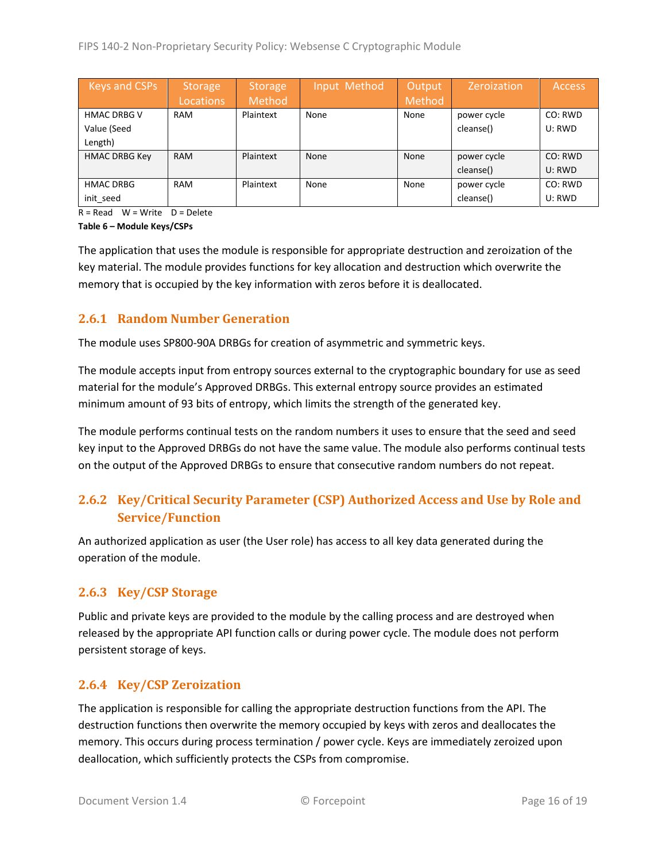| Keys and CSPs        | <b>Storage</b><br>Locations | <b>Storage</b><br>Method | Input Method | Output<br>Method | Zeroization | <b>Access</b> |
|----------------------|-----------------------------|--------------------------|--------------|------------------|-------------|---------------|
| <b>HMAC DRBG V</b>   | RAM                         | Plaintext                | None         | None             | power cycle | CO: RWD       |
| Value (Seed          |                             |                          |              |                  | cleanse()   | U: RWD        |
| Length)              |                             |                          |              |                  |             |               |
| <b>HMAC DRBG Key</b> | <b>RAM</b>                  | Plaintext                | <b>None</b>  | None             | power cycle | CO: RWD       |
|                      |                             |                          |              |                  | cleanse()   | U: RWD        |
| <b>HMAC DRBG</b>     | <b>RAM</b>                  | Plaintext                | None         | None             | power cycle | CO: RWD       |
| init_seed            |                             |                          |              |                  | cleanse()   | U: RWD        |

 $R = Read$  W = Write D = Delete

**Table 6 – Module Keys/CSPs**

The application that uses the module is responsible for appropriate destruction and zeroization of the key material. The module provides functions for key allocation and destruction which overwrite the memory that is occupied by the key information with zeros before it is deallocated.

### <span id="page-15-0"></span>**2.6.1 Random Number Generation**

The module uses SP800-90A DRBGs for creation of asymmetric and symmetric keys.

The module accepts input from entropy sources external to the cryptographic boundary for use as seed material for the module's Approved DRBGs. This external entropy source provides an estimated minimum amount of 93 bits of entropy, which limits the strength of the generated key.

The module performs continual tests on the random numbers it uses to ensure that the seed and seed key input to the Approved DRBGs do not have the same value. The module also performs continual tests on the output of the Approved DRBGs to ensure that consecutive random numbers do not repeat.

## <span id="page-15-1"></span>**2.6.2 Key/Critical Security Parameter (CSP) Authorized Access and Use by Role and Service/Function**

An authorized application as user (the User role) has access to all key data generated during the operation of the module.

### <span id="page-15-2"></span>**2.6.3 Key/CSP Storage**

Public and private keys are provided to the module by the calling process and are destroyed when released by the appropriate API function calls or during power cycle. The module does not perform persistent storage of keys.

### <span id="page-15-3"></span>**2.6.4 Key/CSP Zeroization**

The application is responsible for calling the appropriate destruction functions from the API. The destruction functions then overwrite the memory occupied by keys with zeros and deallocates the memory. This occurs during process termination / power cycle. Keys are immediately zeroized upon deallocation, which sufficiently protects the CSPs from compromise.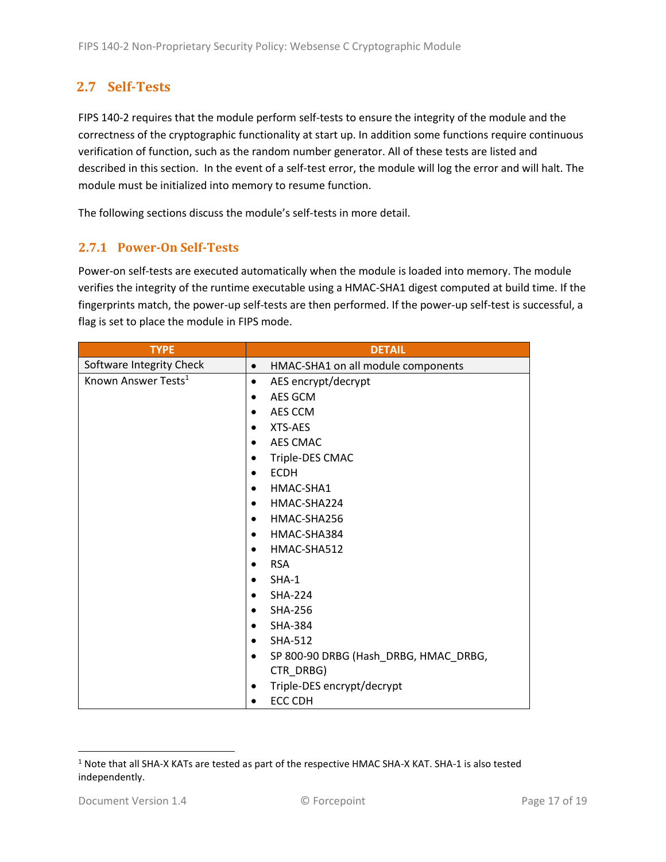## <span id="page-16-0"></span>**2.7 Self-Tests**

FIPS 140-2 requires that the module perform self-tests to ensure the integrity of the module and the correctness of the cryptographic functionality at start up. In addition some functions require continuous verification of function, such as the random number generator. All of these tests are listed and described in this section. In the event of a self-test error, the module will log the error and will halt. The module must be initialized into memory to resume function.

The following sections discuss the module's self-tests in more detail.

### <span id="page-16-1"></span>**2.7.1 Power-On Self-Tests**

Power-on self-tests are executed automatically when the module is loaded into memory. The module verifies the integrity of the runtime executable using a HMAC-SHA1 digest computed at build time. If the fingerprints match, the power-up self-tests are then performed. If the power-up self-test is successful, a flag is set to place the module in FIPS mode.

| <b>TYPE</b>                     | <b>DETAIL</b>                                   |
|---------------------------------|-------------------------------------------------|
| Software Integrity Check        | HMAC-SHA1 on all module components<br>$\bullet$ |
| Known Answer Tests <sup>1</sup> | AES encrypt/decrypt                             |
|                                 | AES GCM                                         |
|                                 | AES CCM                                         |
|                                 | XTS-AES<br>$\bullet$                            |
|                                 | AES CMAC                                        |
|                                 | Triple-DES CMAC                                 |
|                                 | <b>ECDH</b>                                     |
|                                 | HMAC-SHA1<br>$\bullet$                          |
|                                 | HMAC-SHA224<br>$\bullet$                        |
|                                 | HMAC-SHA256                                     |
|                                 | HMAC-SHA384<br>$\bullet$                        |
|                                 | HMAC-SHA512                                     |
|                                 | <b>RSA</b><br>$\bullet$                         |
|                                 | $SHA-1$                                         |
|                                 | <b>SHA-224</b>                                  |
|                                 | <b>SHA-256</b>                                  |
|                                 | <b>SHA-384</b>                                  |
|                                 | <b>SHA-512</b>                                  |
|                                 | SP 800-90 DRBG (Hash_DRBG, HMAC_DRBG,           |
|                                 | CTR_DRBG)                                       |
|                                 | Triple-DES encrypt/decrypt<br>٠                 |
|                                 | ECC CDH                                         |

l <sup>1</sup> Note that all SHA-X KATs are tested as part of the respective HMAC SHA-X KAT. SHA-1 is also tested independently.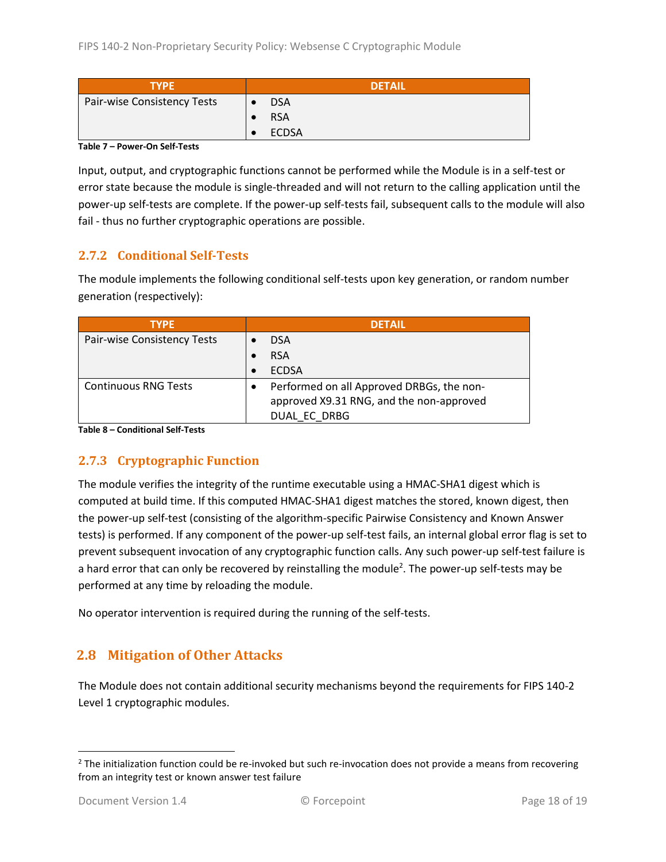| <b>TYPE</b>                 | <b>DETAIL</b> |
|-----------------------------|---------------|
| Pair-wise Consistency Tests | <b>DSA</b>    |
|                             | <b>RSA</b>    |
|                             | <b>ECDSA</b>  |

**Table 7 – Power-On Self-Tests**

Input, output, and cryptographic functions cannot be performed while the Module is in a self-test or error state because the module is single-threaded and will not return to the calling application until the power-up self-tests are complete. If the power-up self-tests fail, subsequent calls to the module will also fail - thus no further cryptographic operations are possible.

#### <span id="page-17-0"></span>**2.7.2 Conditional Self-Tests**

The module implements the following conditional self-tests upon key generation, or random number generation (respectively):

| <b>TYPE</b>                 | <b>DFTAIL</b>                             |
|-----------------------------|-------------------------------------------|
| Pair-wise Consistency Tests | <b>DSA</b>                                |
|                             | <b>RSA</b>                                |
|                             | <b>ECDSA</b>                              |
| <b>Continuous RNG Tests</b> | Performed on all Approved DRBGs, the non- |
|                             | approved X9.31 RNG, and the non-approved  |
|                             | DUAL EC DRBG                              |

**Table 8 – Conditional Self-Tests**

### <span id="page-17-1"></span>**2.7.3 Cryptographic Function**

The module verifies the integrity of the runtime executable using a HMAC-SHA1 digest which is computed at build time. If this computed HMAC-SHA1 digest matches the stored, known digest, then the power-up self-test (consisting of the algorithm-specific Pairwise Consistency and Known Answer tests) is performed. If any component of the power-up self-test fails, an internal global error flag is set to prevent subsequent invocation of any cryptographic function calls. Any such power-up self-test failure is a hard error that can only be recovered by reinstalling the module<sup>2</sup>. The power-up self-tests may be performed at any time by reloading the module.

No operator intervention is required during the running of the self-tests.

## <span id="page-17-2"></span>**2.8 Mitigation of Other Attacks**

The Module does not contain additional security mechanisms beyond the requirements for FIPS 140-2 Level 1 cryptographic modules.

l

 $2$  The initialization function could be re-invoked but such re-invocation does not provide a means from recovering from an integrity test or known answer test failure